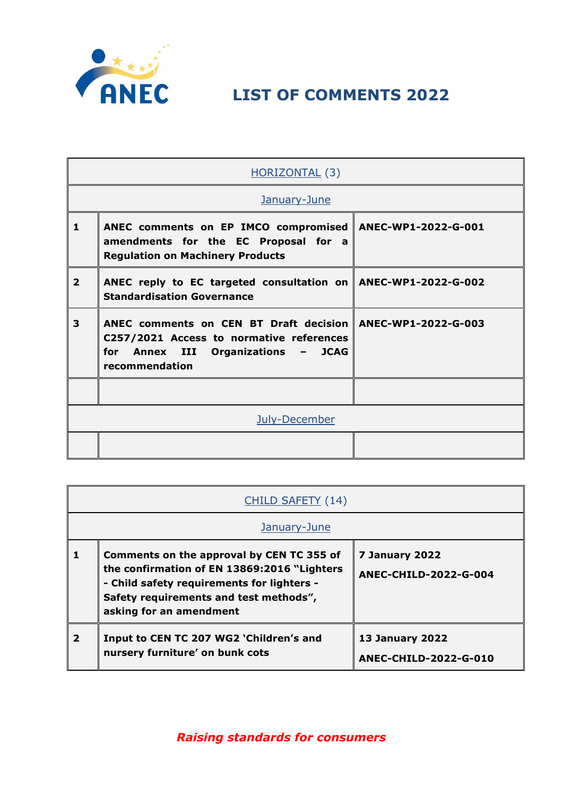

**LIST OF COMMENTS 2022**

|                | HORIZONTAL (3)                                                                                                                                                      |                     |
|----------------|---------------------------------------------------------------------------------------------------------------------------------------------------------------------|---------------------|
| January-June   |                                                                                                                                                                     |                     |
| 1              | ANEC comments on EP IMCO compromised<br>amendments for the EC Proposal for a<br><b>Regulation on Machinery Products</b>                                             | ANEC-WP1-2022-G-001 |
| $\overline{2}$ | ANEC reply to EC targeted consultation on   ANEC-WP1-2022-G-002<br><b>Standardisation Governance</b>                                                                |                     |
| 3              | ANEC comments on CEN BT Draft decision   ANEC-WP1-2022-G-003<br>C257/2021 Access to normative references<br>for<br>Annex III Organizations - JCAG<br>recommendation |                     |
|                |                                                                                                                                                                     |                     |
|                | July-December                                                                                                                                                       |                     |
|                |                                                                                                                                                                     |                     |

|                         | CHILD SAFETY (14)                                                                                                                                                                                            |                                                        |
|-------------------------|--------------------------------------------------------------------------------------------------------------------------------------------------------------------------------------------------------------|--------------------------------------------------------|
|                         | January-June                                                                                                                                                                                                 |                                                        |
|                         | Comments on the approval by CEN TC 355 of<br>the confirmation of EN 13869:2016 "Lighters"<br>- Child safety requirements for lighters -<br>Safety requirements and test methods",<br>asking for an amendment | 7 January 2022<br><b>ANEC-CHILD-2022-G-004</b>         |
| $\overline{\mathbf{2}}$ | Input to CEN TC 207 WG2 'Children's and<br>nursery furniture' on bunk cots                                                                                                                                   | <b>13 January 2022</b><br><b>ANEC-CHILD-2022-G-010</b> |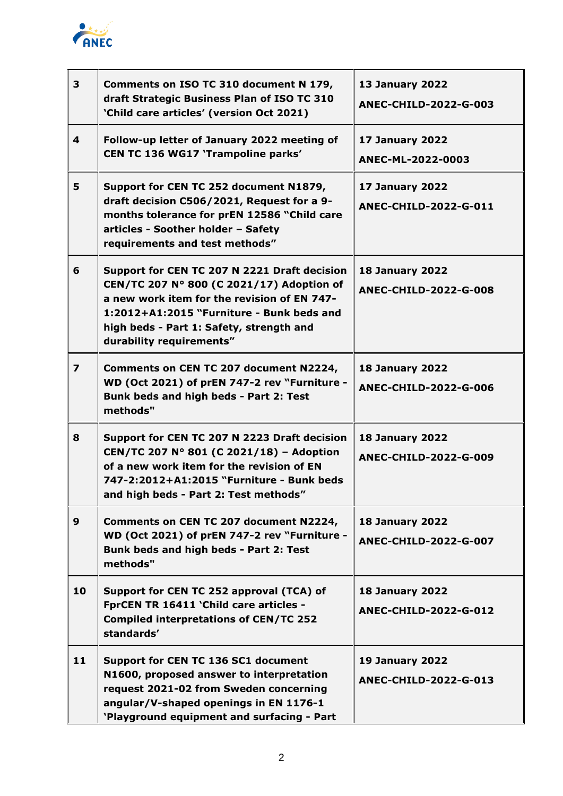

| $\overline{\mathbf{3}}$ | Comments on ISO TC 310 document N 179,<br>draft Strategic Business Plan of ISO TC 310<br>'Child care articles' (version Oct 2021)                                                                                                                             | <b>13 January 2022</b><br>ANEC-CHILD-2022-G-003        |
|-------------------------|---------------------------------------------------------------------------------------------------------------------------------------------------------------------------------------------------------------------------------------------------------------|--------------------------------------------------------|
| $\overline{\mathbf{4}}$ | Follow-up letter of January 2022 meeting of<br>CEN TC 136 WG17 'Trampoline parks'                                                                                                                                                                             | <b>17 January 2022</b><br>ANEC-ML-2022-0003            |
| 5                       | Support for CEN TC 252 document N1879,<br>draft decision C506/2021, Request for a 9-<br>months tolerance for prEN 12586 "Child care<br>articles - Soother holder - Safety<br>requirements and test methods"                                                   | 17 January 2022<br>ANEC-CHILD-2022-G-011               |
| 6                       | Support for CEN TC 207 N 2221 Draft decision<br>CEN/TC 207 N° 800 (C 2021/17) Adoption of<br>a new work item for the revision of EN 747-<br>1:2012+A1:2015 "Furniture - Bunk beds and<br>high beds - Part 1: Safety, strength and<br>durability requirements" | <b>18 January 2022</b><br><b>ANEC-CHILD-2022-G-008</b> |
| $\overline{\mathbf{z}}$ | Comments on CEN TC 207 document N2224,<br>WD (Oct 2021) of prEN 747-2 rev "Furniture -<br>Bunk beds and high beds - Part 2: Test<br>methods"                                                                                                                  | <b>18 January 2022</b><br><b>ANEC-CHILD-2022-G-006</b> |
| 8                       | Support for CEN TC 207 N 2223 Draft decision<br>CEN/TC 207 N° 801 (C 2021/18) - Adoption<br>of a new work item for the revision of EN<br>747-2:2012+A1:2015 "Furniture - Bunk beds<br>and high beds - Part 2: Test methods"                                   | <b>18 January 2022</b><br><b>ANEC-CHILD-2022-G-009</b> |
| 9                       | Comments on CEN TC 207 document N2224,<br>WD (Oct 2021) of prEN 747-2 rev "Furniture -<br>Bunk beds and high beds - Part 2: Test<br>methods"                                                                                                                  | <b>18 January 2022</b><br><b>ANEC-CHILD-2022-G-007</b> |
| 10                      | Support for CEN TC 252 approval (TCA) of<br>FprCEN TR 16411 'Child care articles -<br><b>Compiled interpretations of CEN/TC 252</b><br>standards'                                                                                                             | <b>18 January 2022</b><br><b>ANEC-CHILD-2022-G-012</b> |
| 11                      | Support for CEN TC 136 SC1 document<br>N1600, proposed answer to interpretation<br>request 2021-02 from Sweden concerning<br>angular/V-shaped openings in EN 1176-1<br>'Playground equipment and surfacing - Part                                             | <b>19 January 2022</b><br><b>ANEC-CHILD-2022-G-013</b> |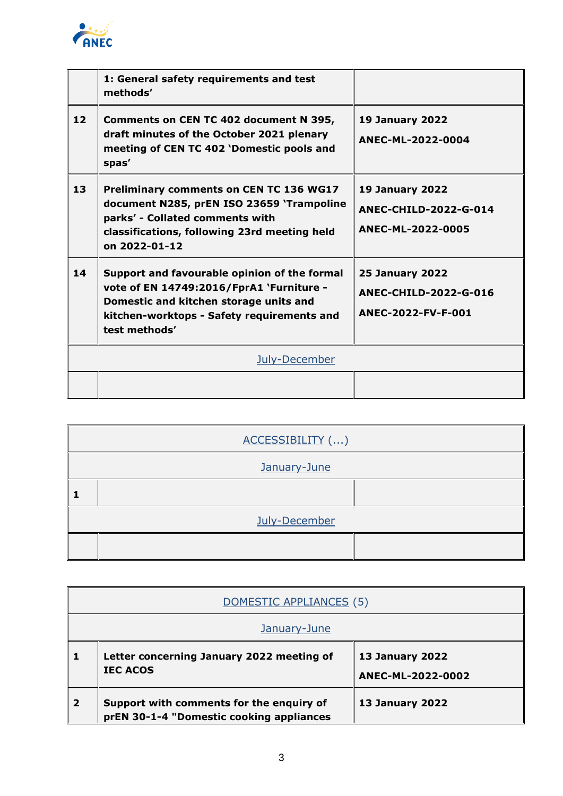

|                 | 1: General safety requirements and test<br>methods'                                                                                                                                               |                                                                              |
|-----------------|---------------------------------------------------------------------------------------------------------------------------------------------------------------------------------------------------|------------------------------------------------------------------------------|
| 12 <sub>2</sub> | Comments on CEN TC 402 document N 395,<br>draft minutes of the October 2021 plenary<br>meeting of CEN TC 402 'Domestic pools and<br>spas'                                                         | <b>19 January 2022</b><br>ANEC-ML-2022-0004                                  |
| 13              | <b>Preliminary comments on CEN TC 136 WG17</b><br>document N285, prEN ISO 23659 'Trampoline<br>parks' - Collated comments with<br>classifications, following 23rd meeting held<br>on 2022-01-12   | <b>19 January 2022</b><br><b>ANEC-CHILD-2022-G-014</b><br>ANEC-ML-2022-0005  |
| 14              | Support and favourable opinion of the formal<br>vote of EN 14749:2016/FprA1 `Furniture -<br>Domestic and kitchen storage units and<br>kitchen-worktops - Safety requirements and<br>test methods' | <b>25 January 2022</b><br><b>ANEC-CHILD-2022-G-016</b><br>ANEC-2022-FV-F-001 |
|                 | July-December                                                                                                                                                                                     |                                                                              |
|                 |                                                                                                                                                                                                   |                                                                              |

| ACCESSIBILITY () |  |  |
|------------------|--|--|
| January-June     |  |  |
|                  |  |  |
| July-December    |  |  |
|                  |  |  |

|                | DOMESTIC APPLIANCES (5)                                                              |                                             |
|----------------|--------------------------------------------------------------------------------------|---------------------------------------------|
|                | January-June                                                                         |                                             |
|                | Letter concerning January 2022 meeting of<br><b>IEC ACOS</b>                         | <b>13 January 2022</b><br>ANEC-ML-2022-0002 |
| $\overline{2}$ | Support with comments for the enquiry of<br>prEN 30-1-4 "Domestic cooking appliances | <b>13 January 2022</b>                      |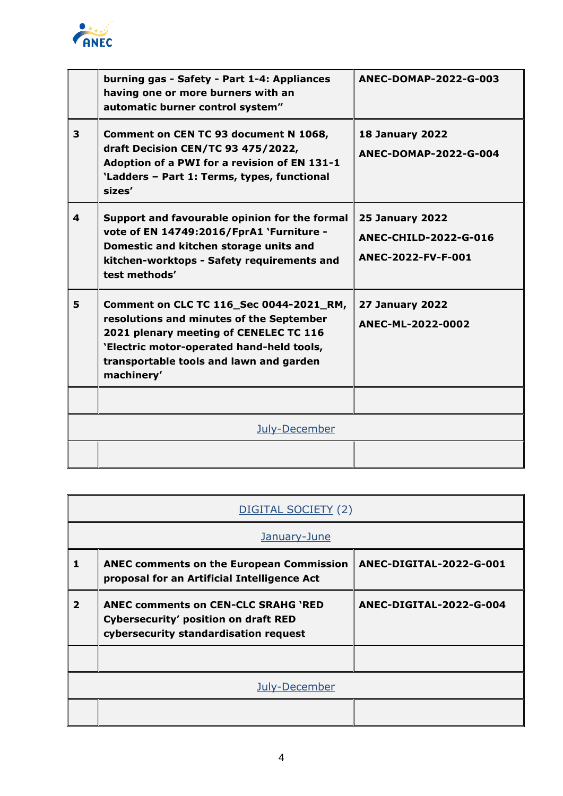

|                         | burning gas - Safety - Part 1-4: Appliances<br>having one or more burners with an<br>automatic burner control system"                                                                                                               | ANEC-DOMAP-2022-G-003                                                        |
|-------------------------|-------------------------------------------------------------------------------------------------------------------------------------------------------------------------------------------------------------------------------------|------------------------------------------------------------------------------|
| $\overline{\mathbf{3}}$ | Comment on CEN TC 93 document N 1068,<br>draft Decision CEN/TC 93 475/2022,<br>Adoption of a PWI for a revision of EN 131-1<br>'Ladders - Part 1: Terms, types, functional<br>sizes'                                                | <b>18 January 2022</b><br>ANEC-DOMAP-2022-G-004                              |
| 4                       | Support and favourable opinion for the formal<br>vote of EN 14749:2016/FprA1 'Furniture -<br>Domestic and kitchen storage units and<br>kitchen-worktops - Safety requirements and<br>test methods'                                  | <b>25 January 2022</b><br><b>ANEC-CHILD-2022-G-016</b><br>ANEC-2022-FV-F-001 |
| 5                       | Comment on CLC TC 116_Sec 0044-2021_RM,<br>resolutions and minutes of the September<br>2021 plenary meeting of CENELEC TC 116<br>'Electric motor-operated hand-held tools,<br>transportable tools and lawn and garden<br>machinery' | <b>27 January 2022</b><br>ANEC-ML-2022-0002                                  |
|                         |                                                                                                                                                                                                                                     |                                                                              |
|                         | July-December                                                                                                                                                                                                                       |                                                                              |
|                         |                                                                                                                                                                                                                                     |                                                                              |

| DIGITAL SOCIETY (2) |                                                                                                                                    |                         |
|---------------------|------------------------------------------------------------------------------------------------------------------------------------|-------------------------|
|                     | January-June                                                                                                                       |                         |
| 1                   | <b>ANEC comments on the European Commission</b><br>proposal for an Artificial Intelligence Act                                     | ANEC-DIGITAL-2022-G-001 |
| $\overline{2}$      | <b>ANEC comments on CEN-CLC SRAHG 'RED</b><br><b>Cybersecurity' position on draft RED</b><br>cybersecurity standardisation request | ANEC-DIGITAL-2022-G-004 |
|                     |                                                                                                                                    |                         |
|                     | July-December                                                                                                                      |                         |
|                     |                                                                                                                                    |                         |